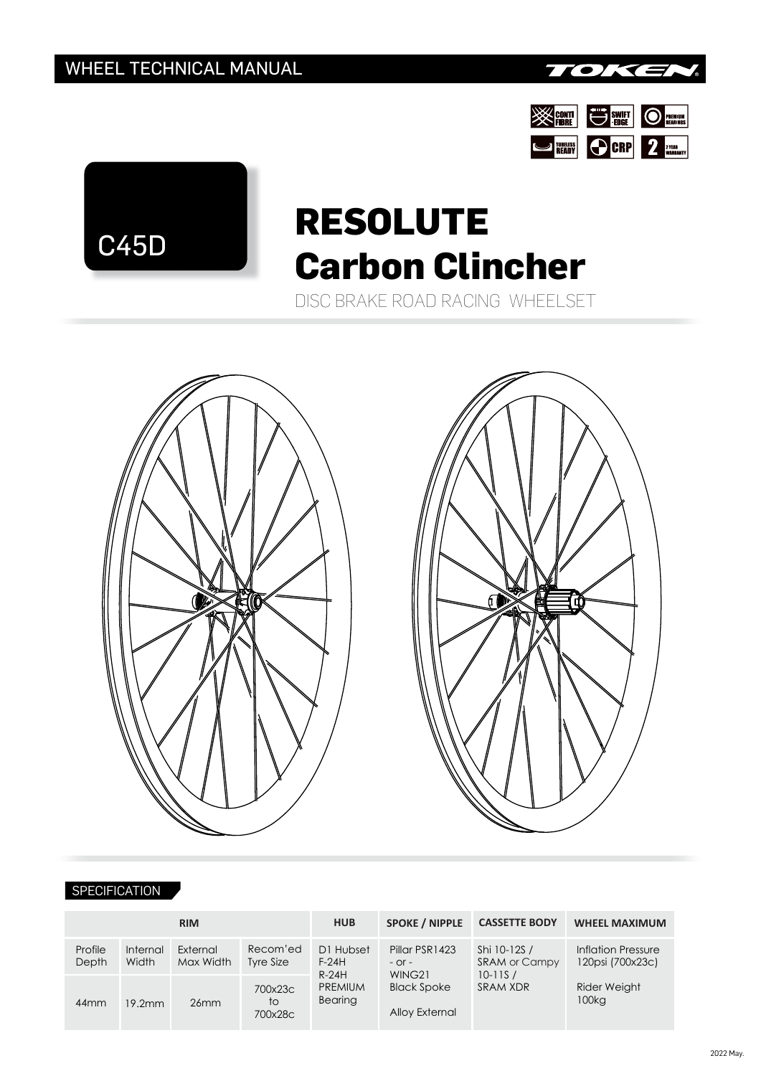





## **RESOLUTE Carbon Clincher**

DISC BRAKE ROAD RACING WHEELSET





## **SPECIFICATION**

| <b>RIM</b>       |                   |                       |                          | <b>HUB</b>                           | <b>SPOKE / NIPPLE</b>                                                          | <b>CASSETTE BODY</b>                                            | <b>WHEEL MAXIMUM</b>                                                        |  |
|------------------|-------------------|-----------------------|--------------------------|--------------------------------------|--------------------------------------------------------------------------------|-----------------------------------------------------------------|-----------------------------------------------------------------------------|--|
| Profile<br>Depth | Internal<br>Width | External<br>Max Width | Recom'ed<br>Tyre Size    | D1 Hubset<br>$F-24H$                 | Pillar PSR1423<br>$-$ Or $-$<br>WING21<br><b>Black Spoke</b><br>Alloy External | Shi 10-12S /<br><b>SRAM or Campy</b><br>$10 - 11S/$<br>SRAM XDR | Inflation Pressure<br>120psi (700x23c)<br>Rider Weight<br>100 <sub>kq</sub> |  |
| $44$ mm          | 19.2mm            | 26mm                  | 700x23c<br>to<br>700x28c | $R-24H$<br><b>PREMIUM</b><br>Bearing |                                                                                |                                                                 |                                                                             |  |